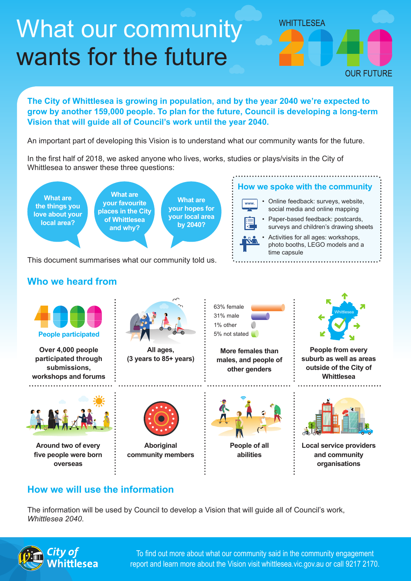## What our community wants for the future



**The City of Whittlesea is growing in population, and by the year 2040 we're expected to grow by another 159,000 people. To plan for the future, Council is developing a long-term Vision that will guide all of Council's work until the year 2040.**

An important part of developing this Vision is to understand what our community wants for the future.

In the first half of 2018, we asked anyone who lives, works, studies or plays/visits in the City of Whittlesea to answer these three questions:



This document summarises what our community told us.

## **Who we heard from**





## **How we will use the information**

The information will be used by Council to develop a Vision that will guide all of Council's work, *Whittlesea 2040*.



To find out more about what our community said in the community engagement report and learn more about the Vision visit whittlesea.vic.gov.au or call 9217 2170.